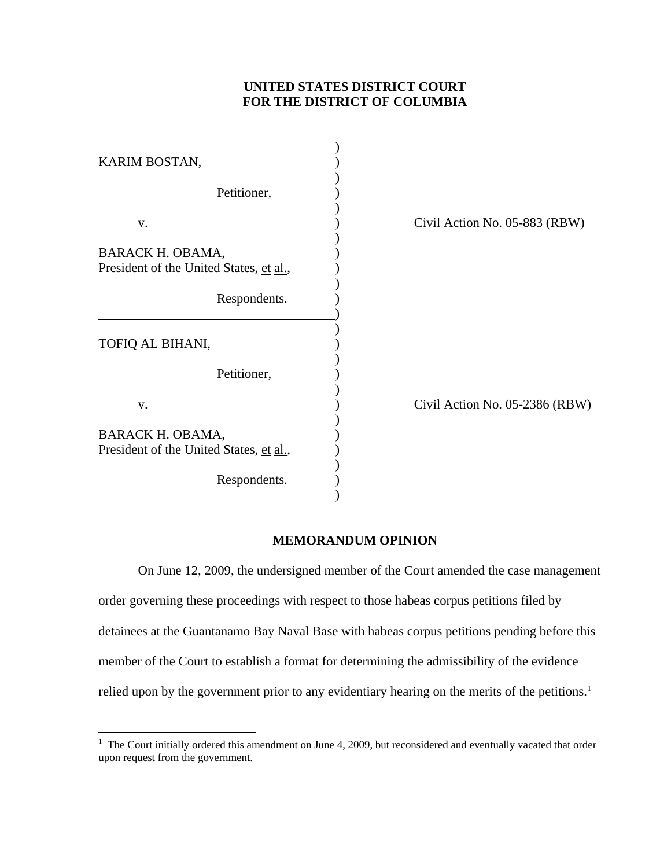## **UNITED STATES DISTRICT COURT FOR THE DISTRICT OF COLUMBIA**

| KARIM BOSTAN,                                               |                                |
|-------------------------------------------------------------|--------------------------------|
| Petitioner,                                                 |                                |
| V.                                                          | Civil Action No. 05-883 (RBW)  |
| BARACK H. OBAMA,<br>President of the United States, et al., |                                |
| Respondents.                                                |                                |
| TOFIQ AL BIHANI,                                            |                                |
| Petitioner,                                                 |                                |
| V.                                                          | Civil Action No. 05-2386 (RBW) |
| BARACK H. OBAMA,<br>President of the United States, et al., |                                |
| Respondents.                                                |                                |

## **MEMORANDUM OPINION**

On June 12, 2009, the undersigned member of the Court amended the case management order governing these proceedings with respect to those habeas corpus petitions filed by detainees at the Guantanamo Bay Naval Base with habeas corpus petitions pending before this member of the Court to establish a format for determining the admissibility of the evidence relied upon by the government prior to any evidentiary hearing on the merits of the petitions.<sup>[1](#page-0-0)</sup>

<span id="page-0-0"></span><sup>&</sup>lt;sup>1</sup> The Court initially ordered this amendment on June 4, 2009, but reconsidered and eventually vacated that order upon request from the government.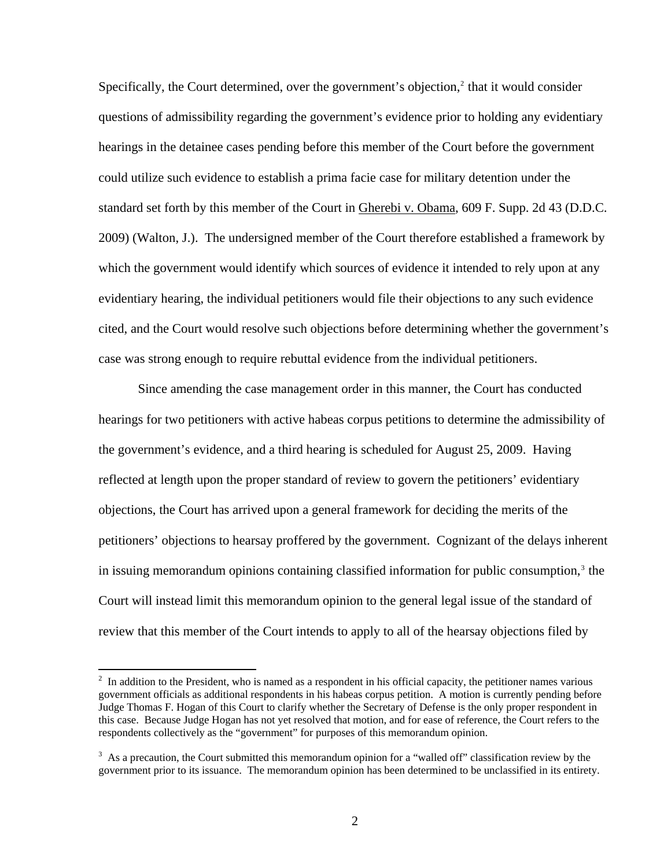Specifically, the Court determined, over the government's objection,<sup>2</sup> that it would consider questions of admissibility regarding the government's evidence prior to holding any evidentiary hearings in the detainee cases pending before this member of the Court before the government could utilize such evidence to establish a prima facie case for military detention under the standard set forth by this member of the Court in Gherebi v. Obama, 609 F. Supp. 2d 43 (D.D.C. 2009) (Walton, J.). The undersigned member of the Court therefore established a framework by which the government would identify which sources of evidence it intended to rely upon at any evidentiary hearing, the individual petitioners would file their objections to any such evidence cited, and the Court would resolve such objections before determining whether the government's case was strong enough to require rebuttal evidence from the individual petitioners.

Since amending the case management order in this manner, the Court has conducted hearings for two petitioners with active habeas corpus petitions to determine the admissibility of the government's evidence, and a third hearing is scheduled for August 25, 2009. Having reflected at length upon the proper standard of review to govern the petitioners' evidentiary objections, the Court has arrived upon a general framework for deciding the merits of the petitioners' objections to hearsay proffered by the government. Cognizant of the delays inherent in issuing memorandum opinions containing classified information for public consumption,<sup>[3](#page-1-1)</sup> the Court will instead limit this memorandum opinion to the general legal issue of the standard of review that this member of the Court intends to apply to all of the hearsay objections filed by

<span id="page-1-0"></span> $2\;\text{In addition to the President, who is named as a responder in his official capacity, the pertinent names various$ government officials as additional respondents in his habeas corpus petition. A motion is currently pending before Judge Thomas F. Hogan of this Court to clarify whether the Secretary of Defense is the only proper respondent in this case. Because Judge Hogan has not yet resolved that motion, and for ease of reference, the Court refers to the respondents collectively as the "government" for purposes of this memorandum opinion.

<span id="page-1-1"></span> $3$  As a precaution, the Court submitted this memorandum opinion for a "walled off" classification review by the government prior to its issuance. The memorandum opinion has been determined to be unclassified in its entirety.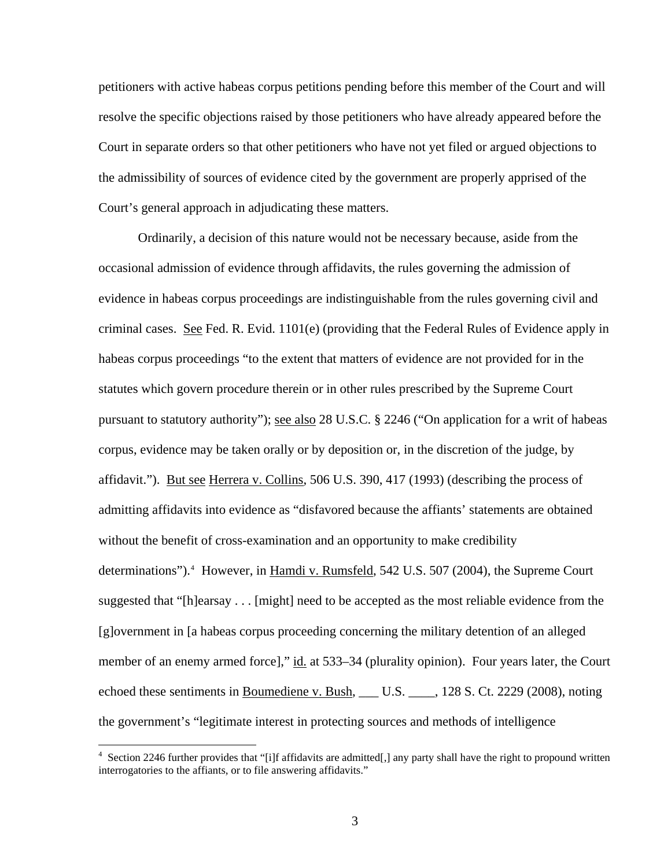petitioners with active habeas corpus petitions pending before this member of the Court and will resolve the specific objections raised by those petitioners who have already appeared before the Court in separate orders so that other petitioners who have not yet filed or argued objections to the admissibility of sources of evidence cited by the government are properly apprised of the Court's general approach in adjudicating these matters.

Ordinarily, a decision of this nature would not be necessary because, aside from the occasional admission of evidence through affidavits, the rules governing the admission of evidence in habeas corpus proceedings are indistinguishable from the rules governing civil and criminal cases. See Fed. R. Evid. 1101(e) (providing that the Federal Rules of Evidence apply in habeas corpus proceedings "to the extent that matters of evidence are not provided for in the statutes which govern procedure therein or in other rules prescribed by the Supreme Court pursuant to statutory authority"); see also 28 U.S.C. § 2246 ("On application for a writ of habeas corpus, evidence may be taken orally or by deposition or, in the discretion of the judge, by affidavit."). But see Herrera v. Collins, 506 U.S. 390, 417 (1993) (describing the process of admitting affidavits into evidence as "disfavored because the affiants' statements are obtained without the benefit of cross-examination and an opportunity to make credibility determinations").<sup>[4](#page-2-0)</sup> However, in **Hamdi v. Rumsfeld**, 542 U.S. 507 (2004), the Supreme Court suggested that "[h]earsay . . . [might] need to be accepted as the most reliable evidence from the [g]overnment in [a habeas corpus proceeding concerning the military detention of an alleged member of an enemy armed force]," id. at 533–34 (plurality opinion). Four years later, the Court echoed these sentiments in Boumediene v. Bush, \_\_\_ U.S. \_\_\_\_, 128 S. Ct. 2229 (2008), noting the government's "legitimate interest in protecting sources and methods of intelligence

<span id="page-2-0"></span><sup>4</sup> Section 2246 further provides that "[i]f affidavits are admitted[,] any party shall have the right to propound written interrogatories to the affiants, or to file answering affidavits."

 $\overline{a}$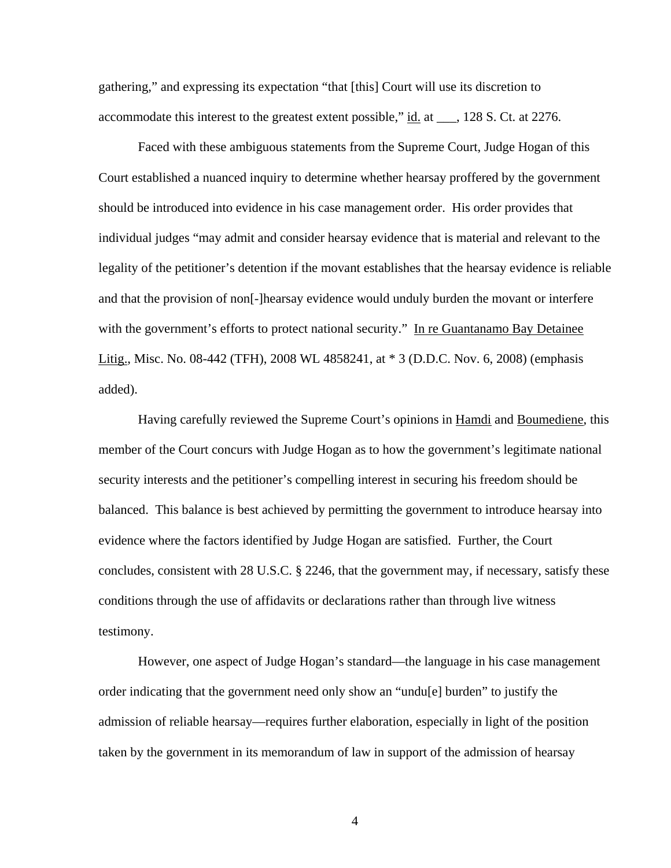gathering," and expressing its expectation "that [this] Court will use its discretion to accommodate this interest to the greatest extent possible," id. at \_\_\_, 128 S. Ct. at 2276.

Faced with these ambiguous statements from the Supreme Court, Judge Hogan of this Court established a nuanced inquiry to determine whether hearsay proffered by the government should be introduced into evidence in his case management order. His order provides that individual judges "may admit and consider hearsay evidence that is material and relevant to the legality of the petitioner's detention if the movant establishes that the hearsay evidence is reliable and that the provision of non[-]hearsay evidence would unduly burden the movant or interfere with the government's efforts to protect national security." In re Guantanamo Bay Detainee Litig., Misc. No. 08-442 (TFH), 2008 WL 4858241, at \* 3 (D.D.C. Nov. 6, 2008) (emphasis added).

Having carefully reviewed the Supreme Court's opinions in Hamdi and Boumediene, this member of the Court concurs with Judge Hogan as to how the government's legitimate national security interests and the petitioner's compelling interest in securing his freedom should be balanced. This balance is best achieved by permitting the government to introduce hearsay into evidence where the factors identified by Judge Hogan are satisfied. Further, the Court concludes, consistent with 28 U.S.C. § 2246, that the government may, if necessary, satisfy these conditions through the use of affidavits or declarations rather than through live witness testimony.

However, one aspect of Judge Hogan's standard—the language in his case management order indicating that the government need only show an "undu[e] burden" to justify the admission of reliable hearsay—requires further elaboration, especially in light of the position taken by the government in its memorandum of law in support of the admission of hearsay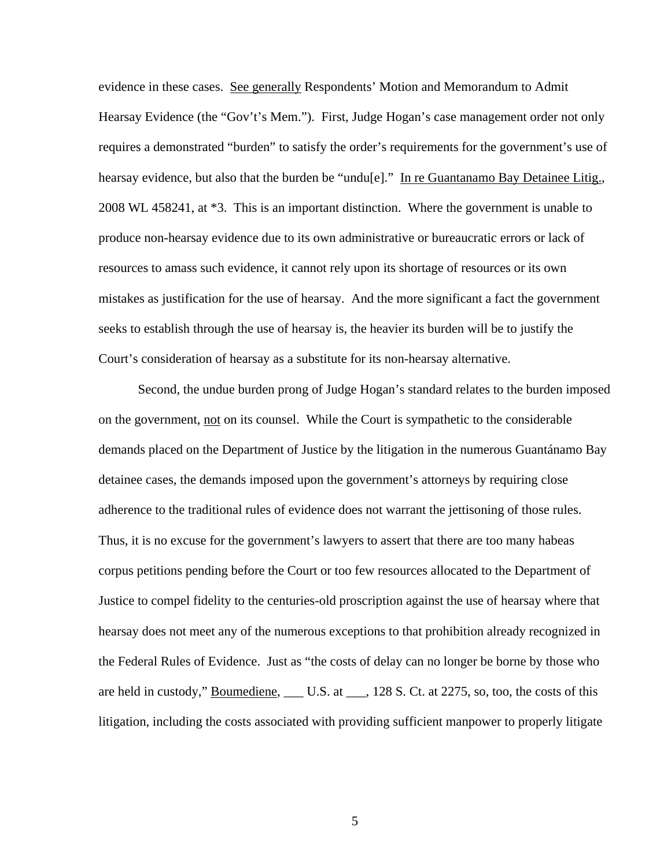evidence in these cases. See generally Respondents' Motion and Memorandum to Admit Hearsay Evidence (the "Gov't's Mem."). First, Judge Hogan's case management order not only requires a demonstrated "burden" to satisfy the order's requirements for the government's use of hearsay evidence, but also that the burden be "undu[e]." In re Guantanamo Bay Detainee Litig., 2008 WL 458241, at \*3. This is an important distinction. Where the government is unable to produce non-hearsay evidence due to its own administrative or bureaucratic errors or lack of resources to amass such evidence, it cannot rely upon its shortage of resources or its own mistakes as justification for the use of hearsay. And the more significant a fact the government seeks to establish through the use of hearsay is, the heavier its burden will be to justify the Court's consideration of hearsay as a substitute for its non-hearsay alternative.

Second, the undue burden prong of Judge Hogan's standard relates to the burden imposed on the government, not on its counsel. While the Court is sympathetic to the considerable demands placed on the Department of Justice by the litigation in the numerous Guantánamo Bay detainee cases, the demands imposed upon the government's attorneys by requiring close adherence to the traditional rules of evidence does not warrant the jettisoning of those rules. Thus, it is no excuse for the government's lawyers to assert that there are too many habeas corpus petitions pending before the Court or too few resources allocated to the Department of Justice to compel fidelity to the centuries-old proscription against the use of hearsay where that hearsay does not meet any of the numerous exceptions to that prohibition already recognized in the Federal Rules of Evidence. Just as "the costs of delay can no longer be borne by those who are held in custody," Boumediene, \_\_\_ U.S. at \_\_\_, 128 S. Ct. at 2275, so, too, the costs of this litigation, including the costs associated with providing sufficient manpower to properly litigate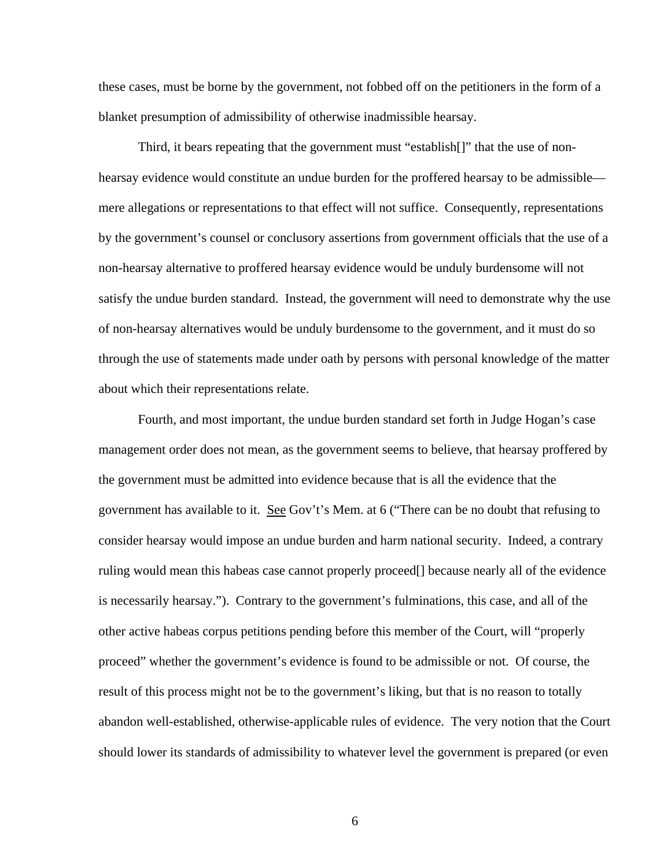these cases, must be borne by the government, not fobbed off on the petitioners in the form of a blanket presumption of admissibility of otherwise inadmissible hearsay.

Third, it bears repeating that the government must "establish[]" that the use of nonhearsay evidence would constitute an undue burden for the proffered hearsay to be admissible mere allegations or representations to that effect will not suffice. Consequently, representations by the government's counsel or conclusory assertions from government officials that the use of a non-hearsay alternative to proffered hearsay evidence would be unduly burdensome will not satisfy the undue burden standard. Instead, the government will need to demonstrate why the use of non-hearsay alternatives would be unduly burdensome to the government, and it must do so through the use of statements made under oath by persons with personal knowledge of the matter about which their representations relate.

Fourth, and most important, the undue burden standard set forth in Judge Hogan's case management order does not mean, as the government seems to believe, that hearsay proffered by the government must be admitted into evidence because that is all the evidence that the government has available to it. See Gov't's Mem. at 6 ("There can be no doubt that refusing to consider hearsay would impose an undue burden and harm national security. Indeed, a contrary ruling would mean this habeas case cannot properly proceed[] because nearly all of the evidence is necessarily hearsay."). Contrary to the government's fulminations, this case, and all of the other active habeas corpus petitions pending before this member of the Court, will "properly proceed" whether the government's evidence is found to be admissible or not. Of course, the result of this process might not be to the government's liking, but that is no reason to totally abandon well-established, otherwise-applicable rules of evidence. The very notion that the Court should lower its standards of admissibility to whatever level the government is prepared (or even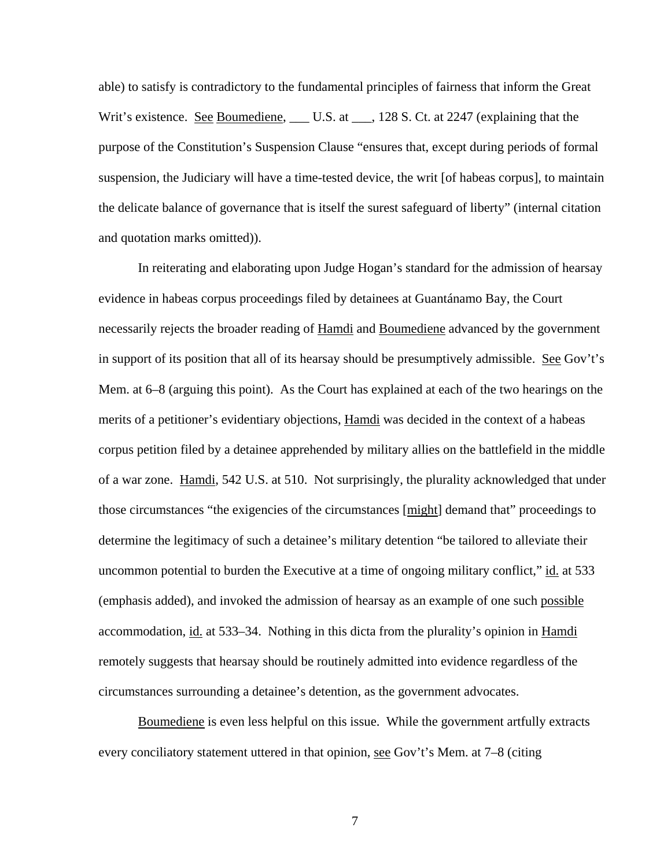able) to satisfy is contradictory to the fundamental principles of fairness that inform the Great Writ's existence. See Boumediene, \_\_\_ U.S. at \_\_\_, 128 S. Ct. at 2247 (explaining that the purpose of the Constitution's Suspension Clause "ensures that, except during periods of formal suspension, the Judiciary will have a time-tested device, the writ [of habeas corpus], to maintain the delicate balance of governance that is itself the surest safeguard of liberty" (internal citation and quotation marks omitted)).

In reiterating and elaborating upon Judge Hogan's standard for the admission of hearsay evidence in habeas corpus proceedings filed by detainees at Guantánamo Bay, the Court necessarily rejects the broader reading of Hamdi and Boumediene advanced by the government in support of its position that all of its hearsay should be presumptively admissible. See Gov't's Mem. at 6–8 (arguing this point). As the Court has explained at each of the two hearings on the merits of a petitioner's evidentiary objections, Hamdi was decided in the context of a habeas corpus petition filed by a detainee apprehended by military allies on the battlefield in the middle of a war zone. Hamdi, 542 U.S. at 510. Not surprisingly, the plurality acknowledged that under those circumstances "the exigencies of the circumstances [might] demand that" proceedings to determine the legitimacy of such a detainee's military detention "be tailored to alleviate their uncommon potential to burden the Executive at a time of ongoing military conflict," id. at 533 (emphasis added), and invoked the admission of hearsay as an example of one such possible accommodation, <u>id.</u> at 533–34. Nothing in this dicta from the plurality's opinion in <u>Hamdi</u> remotely suggests that hearsay should be routinely admitted into evidence regardless of the circumstances surrounding a detainee's detention, as the government advocates.

Boumediene is even less helpful on this issue. While the government artfully extracts every conciliatory statement uttered in that opinion, see Gov't's Mem. at 7–8 (citing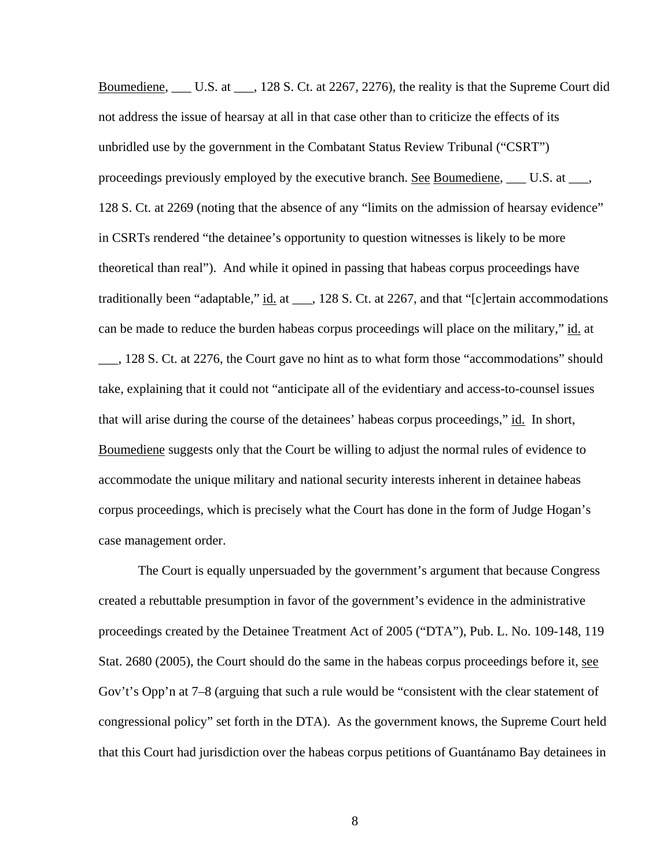Boumediene, L.C. at L.C. at 228 S. Ct. at 2267, 2276), the reality is that the Supreme Court did not address the issue of hearsay at all in that case other than to criticize the effects of its unbridled use by the government in the Combatant Status Review Tribunal ("CSRT") proceedings previously employed by the executive branch. See Boumediene, \_\_\_ U.S. at \_\_\_, 128 S. Ct. at 2269 (noting that the absence of any "limits on the admission of hearsay evidence" in CSRTs rendered "the detainee's opportunity to question witnesses is likely to be more theoretical than real"). And while it opined in passing that habeas corpus proceedings have traditionally been "adaptable," id. at \_\_\_, 128 S. Ct. at 2267, and that "[c]ertain accommodations can be made to reduce the burden habeas corpus proceedings will place on the military," id. at

\_\_\_, 128 S. Ct. at 2276, the Court gave no hint as to what form those "accommodations" should take, explaining that it could not "anticipate all of the evidentiary and access-to-counsel issues that will arise during the course of the detainees' habeas corpus proceedings," id. In short, Boumediene suggests only that the Court be willing to adjust the normal rules of evidence to accommodate the unique military and national security interests inherent in detainee habeas corpus proceedings, which is precisely what the Court has done in the form of Judge Hogan's case management order.

The Court is equally unpersuaded by the government's argument that because Congress created a rebuttable presumption in favor of the government's evidence in the administrative proceedings created by the Detainee Treatment Act of 2005 ("DTA"), Pub. L. No. 109-148, 119 Stat. 2680 (2005), the Court should do the same in the habeas corpus proceedings before it, see Gov't's Opp'n at 7–8 (arguing that such a rule would be "consistent with the clear statement of congressional policy" set forth in the DTA). As the government knows, the Supreme Court held that this Court had jurisdiction over the habeas corpus petitions of Guantánamo Bay detainees in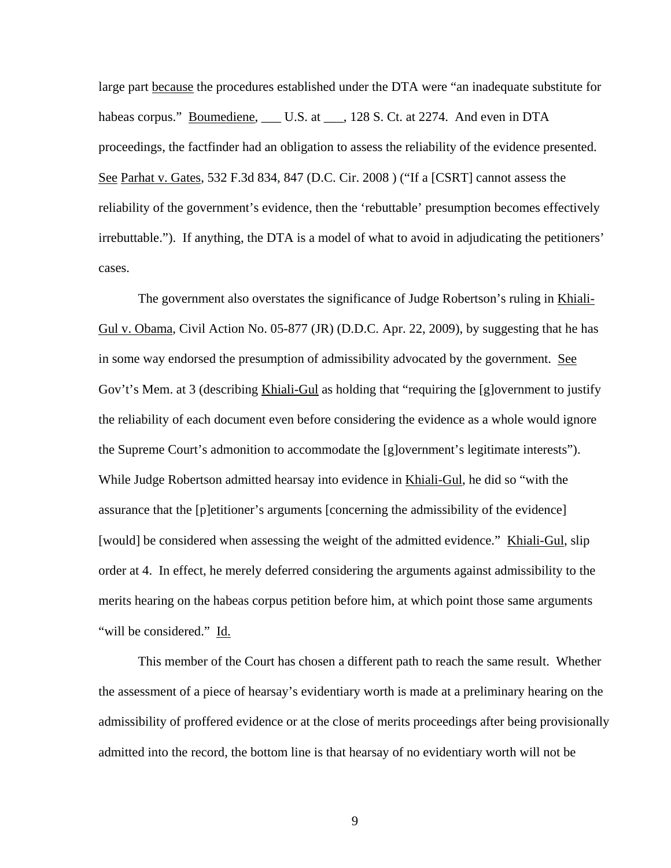large part because the procedures established under the DTA were "an inadequate substitute for habeas corpus." Boumediene, \_\_\_ U.S. at \_\_\_, 128 S. Ct. at 2274. And even in DTA proceedings, the factfinder had an obligation to assess the reliability of the evidence presented. See Parhat v. Gates, 532 F.3d 834, 847 (D.C. Cir. 2008 ) ("If a [CSRT] cannot assess the reliability of the government's evidence, then the 'rebuttable' presumption becomes effectively irrebuttable."). If anything, the DTA is a model of what to avoid in adjudicating the petitioners' cases.

The government also overstates the significance of Judge Robertson's ruling in Khiali-Gul v. Obama, Civil Action No. 05-877 (JR) (D.D.C. Apr. 22, 2009), by suggesting that he has in some way endorsed the presumption of admissibility advocated by the government. See Gov't's Mem. at 3 (describing Khiali-Gul as holding that "requiring the [g]overnment to justify the reliability of each document even before considering the evidence as a whole would ignore the Supreme Court's admonition to accommodate the [g]overnment's legitimate interests"). While Judge Robertson admitted hearsay into evidence in Khiali-Gul, he did so "with the assurance that the [p]etitioner's arguments [concerning the admissibility of the evidence] [would] be considered when assessing the weight of the admitted evidence." Khiali-Gul, slip order at 4. In effect, he merely deferred considering the arguments against admissibility to the merits hearing on the habeas corpus petition before him, at which point those same arguments "will be considered." Id.

This member of the Court has chosen a different path to reach the same result. Whether the assessment of a piece of hearsay's evidentiary worth is made at a preliminary hearing on the admissibility of proffered evidence or at the close of merits proceedings after being provisionally admitted into the record, the bottom line is that hearsay of no evidentiary worth will not be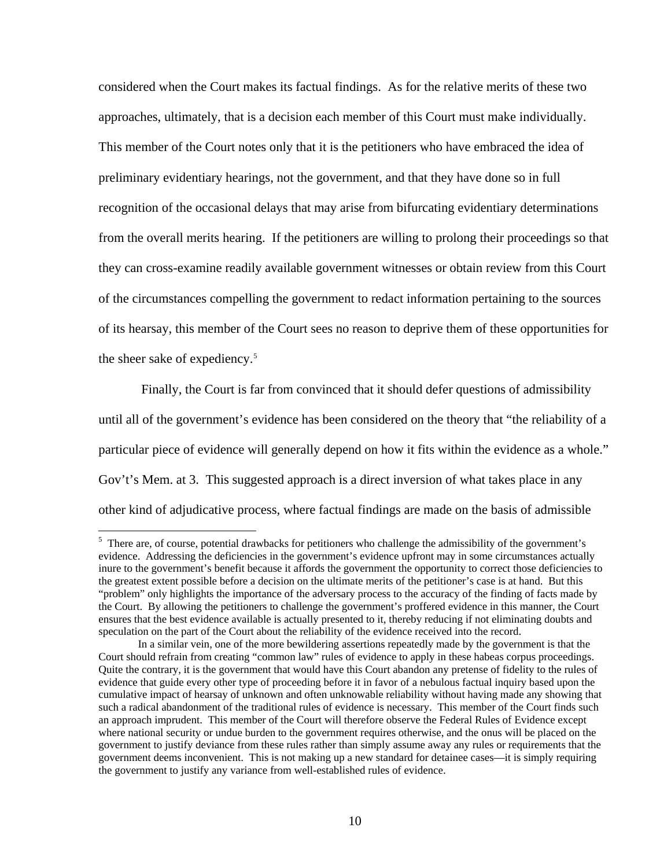considered when the Court makes its factual findings. As for the relative merits of these two approaches, ultimately, that is a decision each member of this Court must make individually. This member of the Court notes only that it is the petitioners who have embraced the idea of preliminary evidentiary hearings, not the government, and that they have done so in full recognition of the occasional delays that may arise from bifurcating evidentiary determinations from the overall merits hearing. If the petitioners are willing to prolong their proceedings so that they can cross-examine readily available government witnesses or obtain review from this Court of the circumstances compelling the government to redact information pertaining to the sources of its hearsay, this member of the Court sees no reason to deprive them of these opportunities for the sheer sake of expediency.<sup>[5](#page-9-0)</sup>

 Finally, the Court is far from convinced that it should defer questions of admissibility until all of the government's evidence has been considered on the theory that "the reliability of a particular piece of evidence will generally depend on how it fits within the evidence as a whole." Gov't's Mem. at 3. This suggested approach is a direct inversion of what takes place in any other kind of adjudicative process, where factual findings are made on the basis of admissible

 $\overline{a}$ 

<span id="page-9-0"></span><sup>&</sup>lt;sup>5</sup> There are, of course, potential drawbacks for petitioners who challenge the admissibility of the government's evidence. Addressing the deficiencies in the government's evidence upfront may in some circumstances actually inure to the government's benefit because it affords the government the opportunity to correct those deficiencies to the greatest extent possible before a decision on the ultimate merits of the petitioner's case is at hand. But this "problem" only highlights the importance of the adversary process to the accuracy of the finding of facts made by the Court. By allowing the petitioners to challenge the government's proffered evidence in this manner, the Court ensures that the best evidence available is actually presented to it, thereby reducing if not eliminating doubts and speculation on the part of the Court about the reliability of the evidence received into the record.

In a similar vein, one of the more bewildering assertions repeatedly made by the government is that the Court should refrain from creating "common law" rules of evidence to apply in these habeas corpus proceedings. Quite the contrary, it is the government that would have this Court abandon any pretense of fidelity to the rules of evidence that guide every other type of proceeding before it in favor of a nebulous factual inquiry based upon the cumulative impact of hearsay of unknown and often unknowable reliability without having made any showing that such a radical abandonment of the traditional rules of evidence is necessary. This member of the Court finds such an approach imprudent. This member of the Court will therefore observe the Federal Rules of Evidence except where national security or undue burden to the government requires otherwise, and the onus will be placed on the government to justify deviance from these rules rather than simply assume away any rules or requirements that the government deems inconvenient. This is not making up a new standard for detainee cases—it is simply requiring the government to justify any variance from well-established rules of evidence.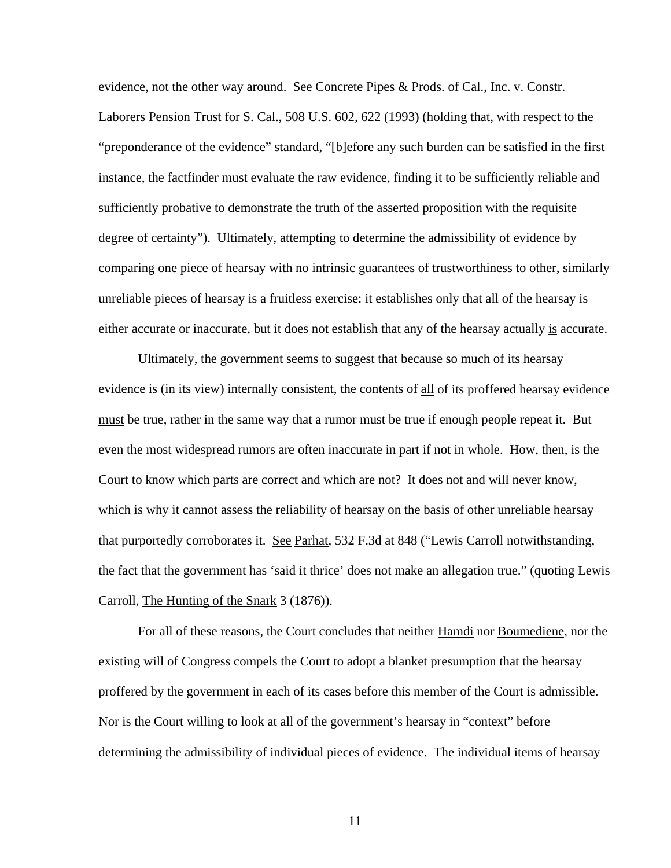evidence, not the other way around. See Concrete Pipes & Prods. of Cal., Inc. v. Constr. Laborers Pension Trust for S. Cal., 508 U.S. 602, 622 (1993) (holding that, with respect to the "preponderance of the evidence" standard, "[b]efore any such burden can be satisfied in the first instance, the factfinder must evaluate the raw evidence, finding it to be sufficiently reliable and sufficiently probative to demonstrate the truth of the asserted proposition with the requisite degree of certainty"). Ultimately, attempting to determine the admissibility of evidence by comparing one piece of hearsay with no intrinsic guarantees of trustworthiness to other, similarly unreliable pieces of hearsay is a fruitless exercise: it establishes only that all of the hearsay is either accurate or inaccurate, but it does not establish that any of the hearsay actually is accurate.

Ultimately, the government seems to suggest that because so much of its hearsay evidence is (in its view) internally consistent, the contents of all of its proffered hearsay evidence must be true, rather in the same way that a rumor must be true if enough people repeat it. But even the most widespread rumors are often inaccurate in part if not in whole. How, then, is the Court to know which parts are correct and which are not? It does not and will never know, which is why it cannot assess the reliability of hearsay on the basis of other unreliable hearsay that purportedly corroborates it. See Parhat, 532 F.3d at 848 ("Lewis Carroll notwithstanding, the fact that the government has 'said it thrice' does not make an allegation true." (quoting Lewis Carroll, The Hunting of the Snark 3 (1876)).

For all of these reasons, the Court concludes that neither Hamdi nor Boumediene, nor the existing will of Congress compels the Court to adopt a blanket presumption that the hearsay proffered by the government in each of its cases before this member of the Court is admissible. Nor is the Court willing to look at all of the government's hearsay in "context" before determining the admissibility of individual pieces of evidence. The individual items of hearsay